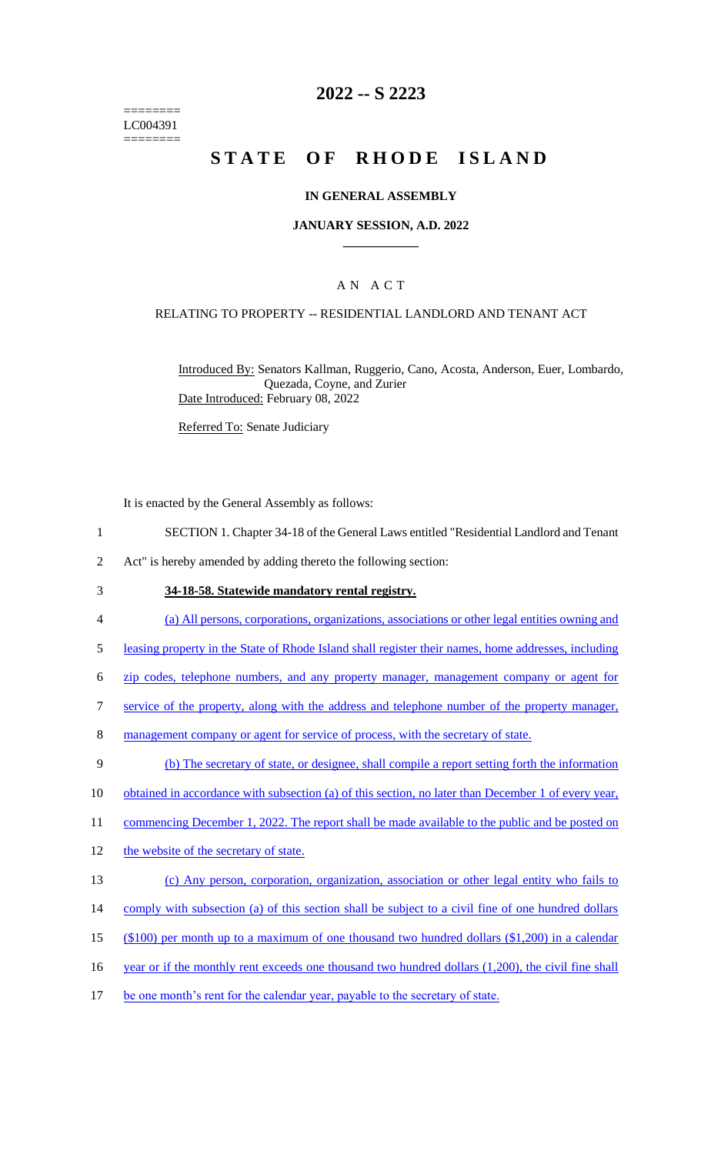======== LC004391 ========

# **2022 -- S 2223**

# **STATE OF RHODE ISLAND**

### **IN GENERAL ASSEMBLY**

### **JANUARY SESSION, A.D. 2022 \_\_\_\_\_\_\_\_\_\_\_\_**

### A N A C T

#### RELATING TO PROPERTY -- RESIDENTIAL LANDLORD AND TENANT ACT

Introduced By: Senators Kallman, Ruggerio, Cano, Acosta, Anderson, Euer, Lombardo, Quezada, Coyne, and Zurier Date Introduced: February 08, 2022

Referred To: Senate Judiciary

It is enacted by the General Assembly as follows:

- 1 SECTION 1. Chapter 34-18 of the General Laws entitled "Residential Landlord and Tenant
- 2 Act" is hereby amended by adding thereto the following section:
- 3 **34-18-58. Statewide mandatory rental registry.**
- 4 (a) All persons, corporations, organizations, associations or other legal entities owning and
- 5 leasing property in the State of Rhode Island shall register their names, home addresses, including
- 6 zip codes, telephone numbers, and any property manager, management company or agent for
- 7 service of the property, along with the address and telephone number of the property manager,
- 8 management company or agent for service of process, with the secretary of state.
- 9 (b) The secretary of state, or designee, shall compile a report setting forth the information
- 10 obtained in accordance with subsection (a) of this section, no later than December 1 of every year,

11 commencing December 1, 2022. The report shall be made available to the public and be posted on

- 12 the website of the secretary of state.
- 13 (c) Any person, corporation, organization, association or other legal entity who fails to
- 14 comply with subsection (a) of this section shall be subject to a civil fine of one hundred dollars
- 15 (\$100) per month up to a maximum of one thousand two hundred dollars (\$1,200) in a calendar
- 16 year or if the monthly rent exceeds one thousand two hundred dollars (1,200), the civil fine shall
- 17 be one month's rent for the calendar year, payable to the secretary of state.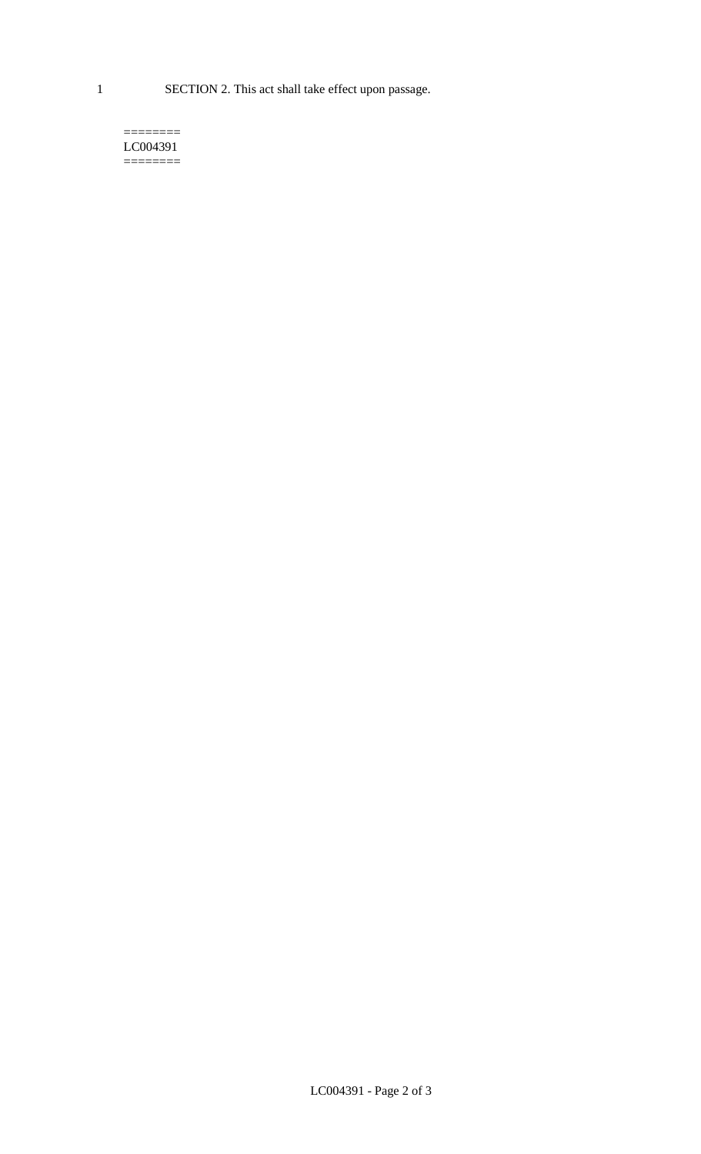1 SECTION 2. This act shall take effect upon passage.

#### $=$ LC004391  $=$

LC004391 - Page 2 of 3